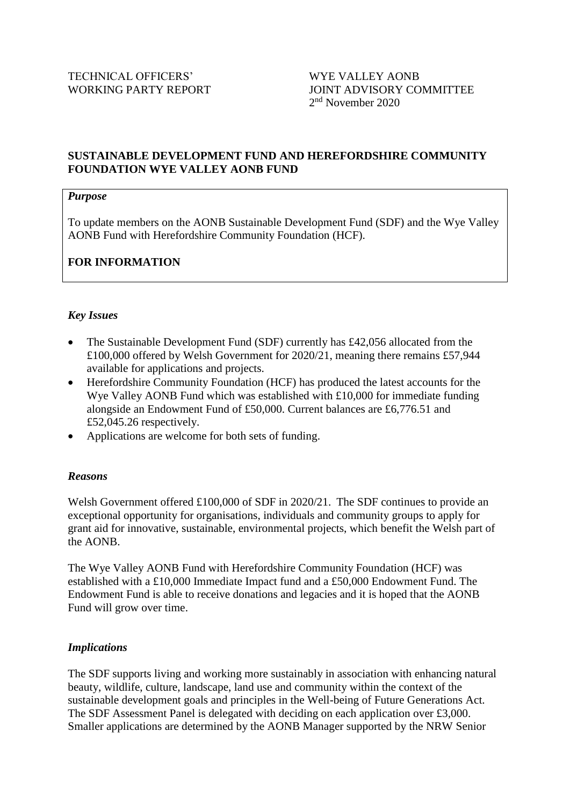## **SUSTAINABLE DEVELOPMENT FUND AND HEREFORDSHIRE COMMUNITY FOUNDATION WYE VALLEY AONB FUND**

#### *Purpose*

To update members on the AONB Sustainable Development Fund (SDF) and the Wye Valley AONB Fund with Herefordshire Community Foundation (HCF).

# **FOR INFORMATION**

## *Key Issues*

- The Sustainable Development Fund (SDF) currently has £42,056 allocated from the £100,000 offered by Welsh Government for 2020/21, meaning there remains £57,944 available for applications and projects.
- Herefordshire Community Foundation (HCF) has produced the latest accounts for the Wye Valley AONB Fund which was established with £10,000 for immediate funding alongside an Endowment Fund of £50,000. Current balances are £6,776.51 and £52,045.26 respectively.
- Applications are welcome for both sets of funding.

#### *Reasons*

Welsh Government offered £100,000 of SDF in 2020/21. The SDF continues to provide an exceptional opportunity for organisations, individuals and community groups to apply for grant aid for innovative, sustainable, environmental projects, which benefit the Welsh part of the AONB.

The Wye Valley AONB Fund with Herefordshire Community Foundation (HCF) was established with a £10,000 Immediate Impact fund and a £50,000 Endowment Fund. The Endowment Fund is able to receive donations and legacies and it is hoped that the AONB Fund will grow over time.

#### *Implications*

The SDF supports living and working more sustainably in association with enhancing natural beauty, wildlife, culture, landscape, land use and community within the context of the sustainable development goals and principles in the Well-being of Future Generations Act. The SDF Assessment Panel is delegated with deciding on each application over £3,000. Smaller applications are determined by the AONB Manager supported by the NRW Senior